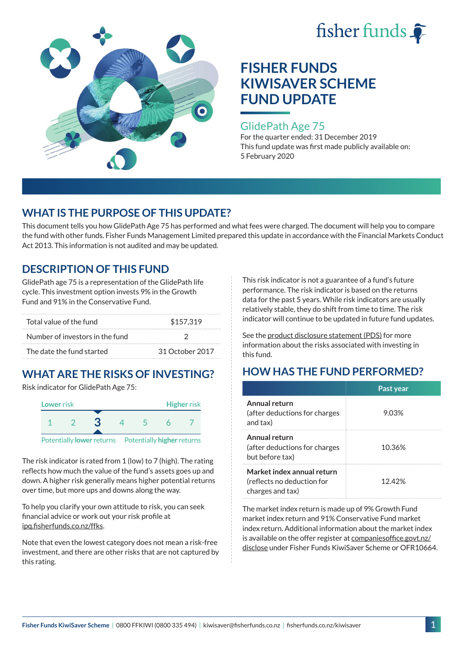



### GlidePath Age 75

For the quarter ended: 31 December 2019 This fund update was first made publicly available on: 5 February 2020

# **WHAT IS THE PURPOSE OF THIS UPDATE?**

This document tells you how GlidePath Age 75 has performed and what fees were charged. The document will help you to compare the fund with other funds. Fisher Funds Management Limited prepared this update in accordance with the Financial Markets Conduct Act 2013. This information is not audited and may be updated.

# **DESCRIPTION OF THIS FUND**

GlidePath age 75 is a representation of the GlidePath life cycle. This investment option invests 9% in the Growth Fund and 91% in the Conservative Fund.

| Total value of the fund         | \$157,319       |  |
|---------------------------------|-----------------|--|
| Number of investors in the fund |                 |  |
| The date the fund started       | 31 October 2017 |  |

# **WHAT ARE THE RISKS OF INVESTING?**

Risk indicator for GlidePath Age 75:



Potentially **lower** returns Potentially **higher** returns

The risk indicator is rated from 1 (low) to 7 (high). The rating reflects how much the value of the fund's assets goes up and down. A higher risk generally means higher potential returns over time, but more ups and downs along the way.

To help you clarify your own attitude to risk, you can seek financial advice or work out your risk profile at [ipq.fisherfunds.co.nz/ffks](https://ipq.fisherfunds.co.nz/ffks).

Note that even the lowest category does not mean a risk-free investment, and there are other risks that are not captured by this rating.

This risk indicator is not a guarantee of a fund's future performance. The risk indicator is based on the returns data for the past 5 years. While risk indicators are usually relatively stable, they do shift from time to time. The risk indicator will continue to be updated in future fund updates.

See the [product disclosure statement \(PDS\)](https://fisherfunds.co.nz/assets/PDS/Fisher-Funds-KiwiSaver-Scheme-PDS.pdf) for more information about the risks associated with investing in this fund.

# **HOW HAS THE FUND PERFORMED?**

|                                                                              | Past year |
|------------------------------------------------------------------------------|-----------|
| Annual return<br>(after deductions for charges<br>and tax)                   | 9.03%     |
| Annual return<br>(after deductions for charges<br>but before tax)            | 10.36%    |
| Market index annual return<br>(reflects no deduction for<br>charges and tax) | 1242%     |

The market index return is made up of 9% Growth Fund market index return and 91% Conservative Fund market index return. Additional information about the market index is available on the offer register at [companiesoffice.govt.nz/](http://companiesoffice.govt.nz/disclose) [disclose](http://companiesoffice.govt.nz/disclose) under Fisher Funds KiwiSaver Scheme or OFR10664.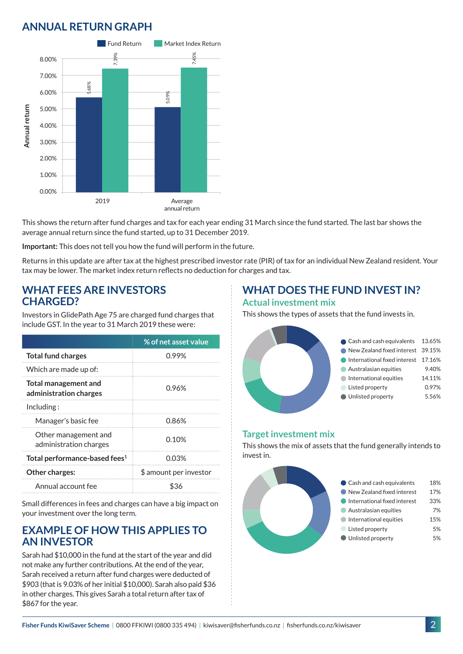# **ANNUAL RETURN GRAPH**



This shows the return after fund charges and tax for each year ending 31 March since the fund started. The last bar shows the average annual return since the fund started, up to 31 December 2019.

**Important:** This does not tell you how the fund will perform in the future.

Returns in this update are after tax at the highest prescribed investor rate (PIR) of tax for an individual New Zealand resident. Your tax may be lower. The market index return reflects no deduction for charges and tax.

### **WHAT FEES ARE INVESTORS CHARGED?**

Investors in GlidePath Age 75 are charged fund charges that include GST. In the year to 31 March 2019 these were:

|                                                | % of net asset value   |
|------------------------------------------------|------------------------|
| <b>Total fund charges</b>                      | 0.99%                  |
| Which are made up of:                          |                        |
| Total management and<br>administration charges | 0.96%                  |
| Including:                                     |                        |
| Manager's basic fee                            | 0.86%                  |
| Other management and<br>administration charges | 0.10%                  |
| Total performance-based fees <sup>1</sup>      | 0.03%                  |
| Other charges:                                 | \$ amount per investor |
| Annual account fee                             | ፍ36                    |

Small differences in fees and charges can have a big impact on your investment over the long term.

### **EXAMPLE OF HOW THIS APPLIES TO AN INVESTOR**

Sarah had \$10,000 in the fund at the start of the year and did not make any further contributions. At the end of the year, Sarah received a return after fund charges were deducted of \$903 (that is 9.03% of her initial \$10,000). Sarah also paid \$36 in other charges. This gives Sarah a total return after tax of \$867 for the year.

### **WHAT DOES THE FUND INVEST IN? Actual investment mix**

This shows the types of assets that the fund invests in.



#### **Target investment mix**

This shows the mix of assets that the fund generally intends to invest in.